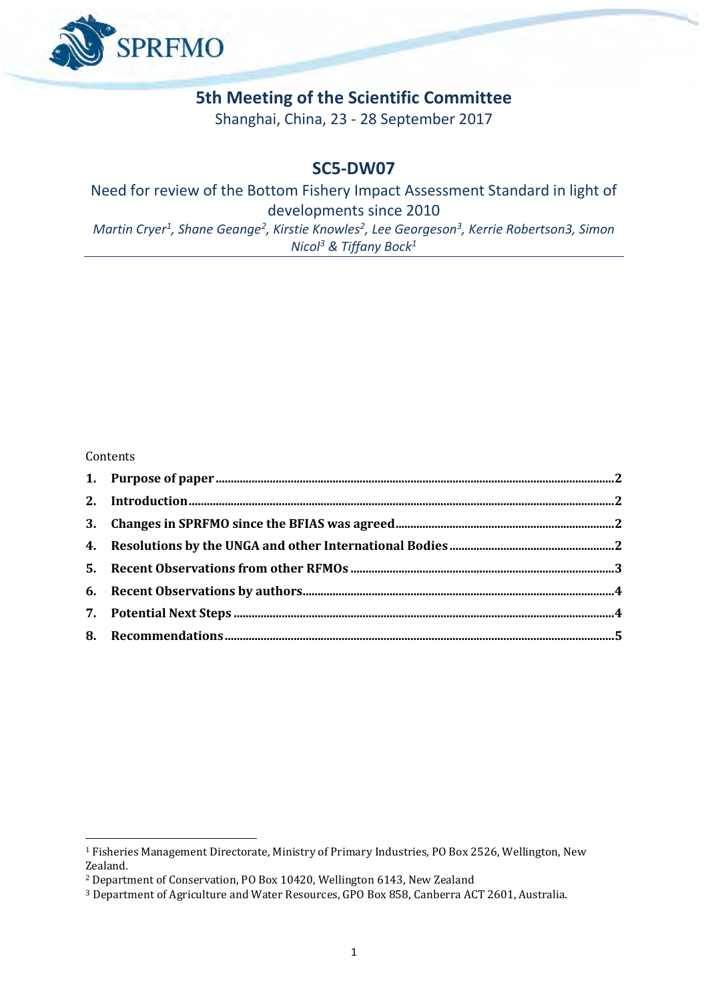

#### **5th Meeting of the Scientific Committee**

Shanghai, China, 23 - 28 September 2017

#### **SC5-DW07**

#### Need for review of the Bottom Fishery Impact Assessment Standard in light of developments since 2010 *Martin Cryer<sup>1</sup>, Shane Geange<sup>2</sup>, Kirstie Knowles<sup>2</sup>, Lee Georgeson<sup>3</sup>, Kerrie Robertson3, Simon*

*Nicol<sup>3</sup> & Tiffany Bock<sup>1</sup>*

#### Contents

<span id="page-0-0"></span><u>.</u>

<sup>1</sup> Fisheries Management Directorate, Ministry of Primary Industries, PO Box 2526, Wellington, New Zealand.

<sup>2</sup> Department of Conservation, PO Box 10420, Wellington 6143, New Zealand

<sup>3</sup> Department of Agriculture and Water Resources, GPO Box 858, Canberra ACT 2601, Australia.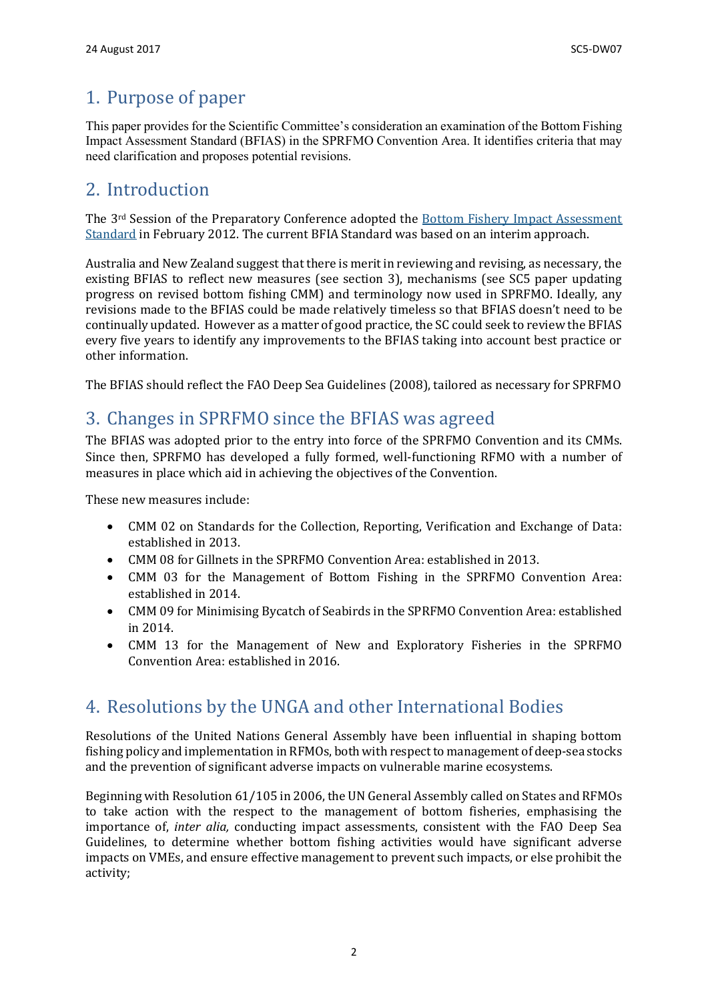## 1. Purpose of paper

This paper provides for the Scientific Committee's consideration an examination of the Bottom Fishing Impact Assessment Standard (BFIAS) in the SPRFMO Convention Area. It identifies criteria that may need clarification and proposes potential revisions.

## <span id="page-1-0"></span>2. Introduction

The 3rd Session of the Preparatory Conference adopted the [Bottom Fishery Impact Assessment](http://www.sprfmo.int/assets/Meetings/Meetings-before-2013/Scientific-Working-Group/SWG-06-2008/a-Miscellaneous-Documents/SPRFMO-Bottom-Fishing-Impact-Assessment-Standardagreed-Vanuatu-Fri23Sep2011-1140am.pdf)  [Standard](http://www.sprfmo.int/assets/Meetings/Meetings-before-2013/Scientific-Working-Group/SWG-06-2008/a-Miscellaneous-Documents/SPRFMO-Bottom-Fishing-Impact-Assessment-Standardagreed-Vanuatu-Fri23Sep2011-1140am.pdf) in February 2012. The current BFIA Standard was based on an interim approach.

Australia and New Zealand suggest that there is merit in reviewing and revising, as necessary, the existing BFIAS to reflect new measures (see section 3), mechanisms (see SC5 paper updating progress on revised bottom fishing CMM) and terminology now used in SPRFMO. Ideally, any revisions made to the BFIAS could be made relatively timeless so that BFIAS doesn't need to be continually updated. However as a matter of good practice, the SC could seek to review the BFIAS every five years to identify any improvements to the BFIAS taking into account best practice or other information.

The BFIAS should reflect the FAO Deep Sea Guidelines (2008), tailored as necessary for SPRFMO

### <span id="page-1-1"></span>3. Changes in SPRFMO since the BFIAS was agreed

The BFIAS was adopted prior to the entry into force of the SPRFMO Convention and its CMMs. Since then, SPRFMO has developed a fully formed, well-functioning RFMO with a number of measures in place which aid in achieving the objectives of the Convention.

These new measures include:

- CMM 02 on Standards for the Collection, Reporting, Verification and Exchange of Data: established in 2013.
- CMM 08 for Gillnets in the SPRFMO Convention Area: established in 2013.
- CMM 03 for the Management of Bottom Fishing in the SPRFMO Convention Area: established in 2014.
- CMM 09 for Minimising Bycatch of Seabirds in the SPRFMO Convention Area: established in 2014.
- CMM 13 for the Management of New and Exploratory Fisheries in the SPRFMO Convention Area: established in 2016.

### <span id="page-1-2"></span>4. Resolutions by the UNGA and other International Bodies

Resolutions of the United Nations General Assembly have been influential in shaping bottom fishing policy and implementation in RFMOs, both with respect to management of deep-sea stocks and the prevention of significant adverse impacts on vulnerable marine ecosystems.

Beginning with Resolution 61/105 in 2006, the UN General Assembly called on States and RFMOs to take action with the respect to the management of bottom fisheries, emphasising the importance of, *inter alia,* conducting impact assessments, consistent with the FAO Deep Sea Guidelines, to determine whether bottom fishing activities would have significant adverse impacts on VMEs, and ensure effective management to prevent such impacts, or else prohibit the activity;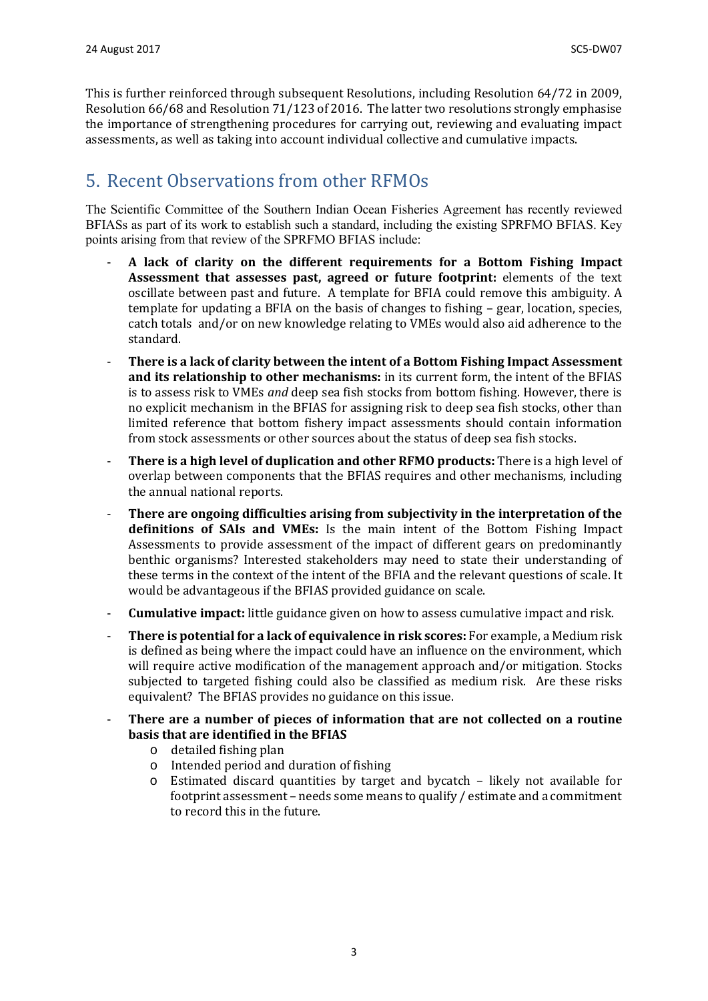This is further reinforced through subsequent Resolutions, including Resolution 64/72 in 2009, Resolution 66/68 and Resolution 71/123 of 2016. The latter two resolutions strongly emphasise the importance of strengthening procedures for carrying out, reviewing and evaluating impact assessments, as well as taking into account individual collective and cumulative impacts.

# <span id="page-2-0"></span>5. Recent Observations from other RFMOs

The Scientific Committee of the Southern Indian Ocean Fisheries Agreement has recently reviewed BFIASs as part of its work to establish such a standard, including the existing SPRFMO BFIAS. Key points arising from that review of the SPRFMO BFIAS include:

- **A lack of clarity on the different requirements for a Bottom Fishing Impact Assessment that assesses past, agreed or future footprint:** elements of the text oscillate between past and future. A template for BFIA could remove this ambiguity. A template for updating a BFIA on the basis of changes to fishing – gear, location, species, catch totals and/or on new knowledge relating to VMEs would also aid adherence to the standard.
- **There is a lack of clarity between the intent of a Bottom Fishing Impact Assessment and its relationship to other mechanisms:** in its current form, the intent of the BFIAS is to assess risk to VMEs *and* deep sea fish stocks from bottom fishing. However, there is no explicit mechanism in the BFIAS for assigning risk to deep sea fish stocks, other than limited reference that bottom fishery impact assessments should contain information from stock assessments or other sources about the status of deep sea fish stocks.
- **There is a high level of duplication and other RFMO products:** There is a high level of overlap between components that the BFIAS requires and other mechanisms, including the annual national reports.
- **There are ongoing difficulties arising from subjectivity in the interpretation of the definitions of SAIs and VMEs:** Is the main intent of the Bottom Fishing Impact Assessments to provide assessment of the impact of different gears on predominantly benthic organisms? Interested stakeholders may need to state their understanding of these terms in the context of the intent of the BFIA and the relevant questions of scale. It would be advantageous if the BFIAS provided guidance on scale.
- **Cumulative impact:** little guidance given on how to assess cumulative impact and risk.
- **There is potential for a lack of equivalence in risk scores:** For example, a Medium risk is defined as being where the impact could have an influence on the environment, which will require active modification of the management approach and/or mitigation. Stocks subjected to targeted fishing could also be classified as medium risk. Are these risks equivalent? The BFIAS provides no guidance on this issue.
- <span id="page-2-1"></span>- **There are a number of pieces of information that are not collected on a routine basis that are identified in the BFIAS**
	- o detailed fishing plan
	- o Intended period and duration of fishing
	- Estimated discard quantities by target and bycatch  $-$  likely not available for footprint assessment – needs some means to qualify / estimate and a commitment to record this in the future.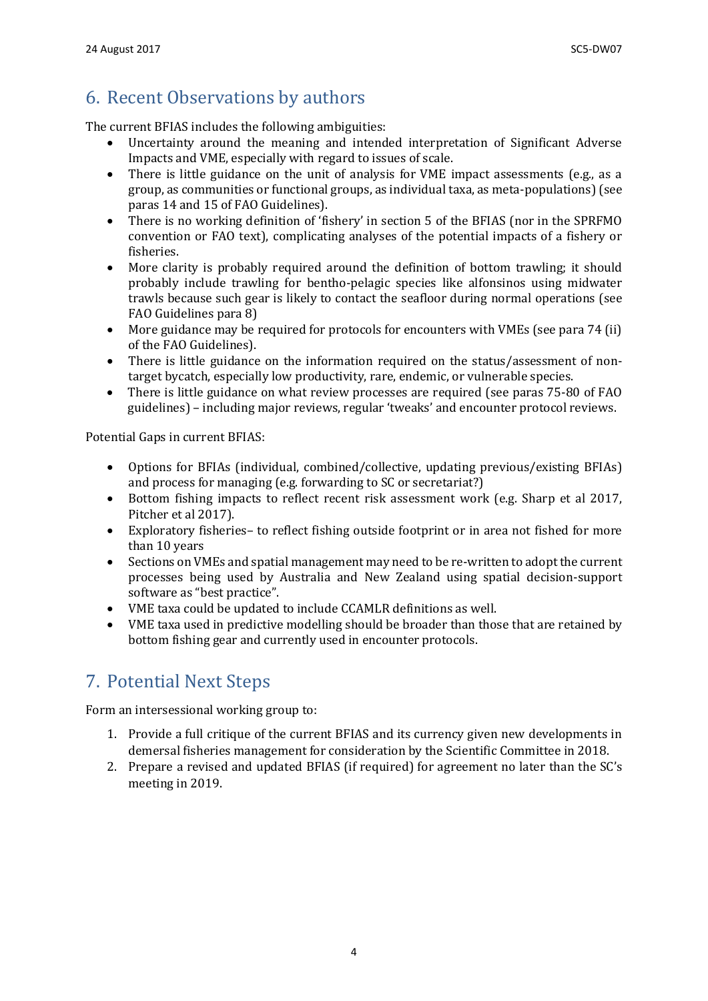## 6. Recent Observations by authors

The current BFIAS includes the following ambiguities:

- Uncertainty around the meaning and intended interpretation of Significant Adverse Impacts and VME, especially with regard to issues of scale.
- There is little guidance on the unit of analysis for VME impact assessments (e.g., as a group, as communities or functional groups, as individual taxa, as meta-populations) (see paras 14 and 15 of FAO Guidelines).
- There is no working definition of 'fishery' in section 5 of the BFIAS (nor in the SPRFMO convention or FAO text), complicating analyses of the potential impacts of a fishery or fisheries.
- More clarity is probably required around the definition of bottom trawling; it should probably include trawling for bentho-pelagic species like alfonsinos using midwater trawls because such gear is likely to contact the seafloor during normal operations (see FAO Guidelines para 8)
- More guidance may be required for protocols for encounters with VMEs (see para 74 (ii) of the FAO Guidelines).
- There is little guidance on the information required on the status/assessment of nontarget bycatch, especially low productivity, rare, endemic, or vulnerable species.
- There is little guidance on what review processes are required (see paras 75-80 of FAO guidelines) – including major reviews, regular 'tweaks' and encounter protocol reviews.

Potential Gaps in current BFIAS:

- Options for BFIAs (individual, combined/collective, updating previous/existing BFIAs) and process for managing (e.g. forwarding to SC or secretariat?)
- Bottom fishing impacts to reflect recent risk assessment work (e.g. Sharp et al 2017, Pitcher et al 2017).
- Exploratory fisheries– to reflect fishing outside footprint or in area not fished for more than 10 years
- Sections on VMEs and spatial management may need to be re-written to adopt the current processes being used by Australia and New Zealand using spatial decision-support software as "best practice".
- VME taxa could be updated to include CCAMLR definitions as well.
- VME taxa used in predictive modelling should be broader than those that are retained by bottom fishing gear and currently used in encounter protocols.

# <span id="page-3-0"></span>7. Potential Next Steps

Form an intersessional working group to:

- 1. Provide a full critique of the current BFIAS and its currency given new developments in demersal fisheries management for consideration by the Scientific Committee in 2018.
- <span id="page-3-1"></span>2. Prepare a revised and updated BFIAS (if required) for agreement no later than the SC's meeting in 2019.